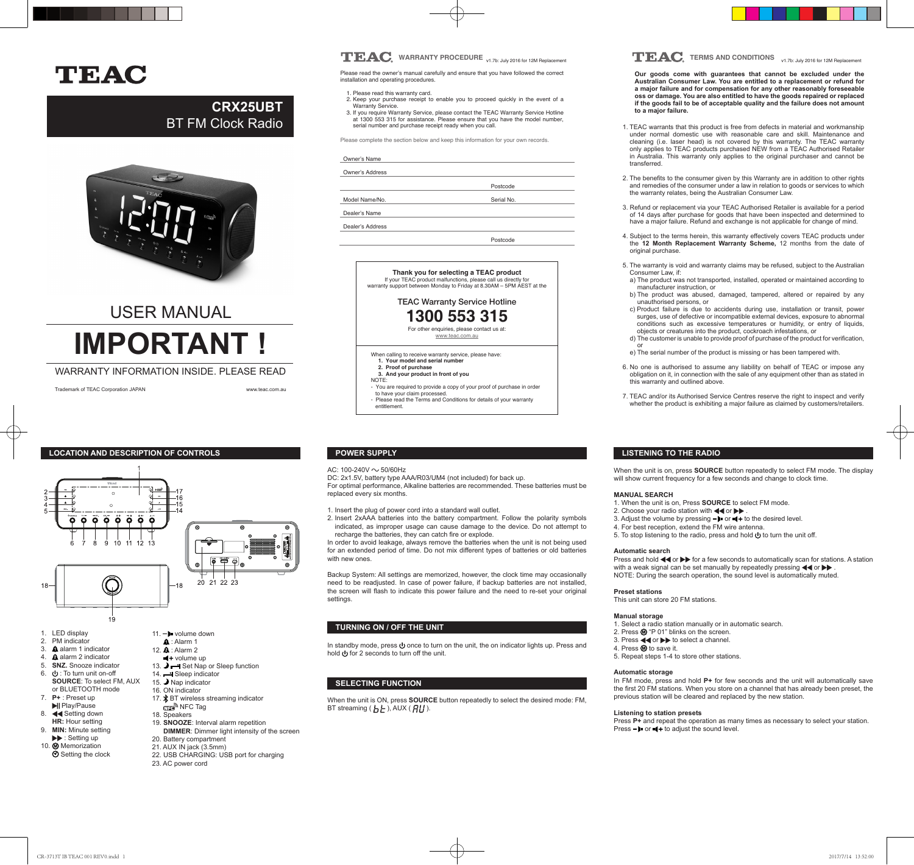# TEAC

## **CRX25UBT** BT FM Clock Radio



# USER MANUAL **IMPORTANT !**

#### WARRANTY INFORMATION INSIDE. PLEASE READ

Trademark of TEAC Corporation JAPAN www.teac.com.au





- 1. LED display 2. PM indicator
- 3 **A** alarm 1 indicator
- 4. **A** alarm 2 indicator
- 5. **SNZ.** Snooze indicator
- 6. (b): To turn unit on-off
- **SOURCE**: To select FM, AUX or BLUETOOTH mode
- 7. **P+** : Preset up
- **NI** Play/Pause
- 
- **HR:** Hour setting<br>**9 MIN:** Minute setting **MIN:** Minute setting
- $\blacktriangleright\blacktriangleright$ : Setting up 10. Memorization
- **⊙** Setting the clock
- $\hat{\mathbf{A}}$ : Alarm 1 12.  $\mathbf{\hat{A}}$  : Alarm 2
- 

19

- 
- 
- 
- 
- 
- 
- 8. **44 Setting down**
- - **DIMMER**: Dimmer light intensity of the screen
		- 20. Battery compartment
		- 21. AUX IN jack (3.5mm)

 $+$  volume up

 $-18$ 

14. Sleep indicator 15. Nap indicator 16. ON indicator

**NFC** Tag 18. Speakers

13.  $\rightarrow$  - Set Nap or Sleep function

20 21 22 23

17. **\*** BT wireless streaming indicator

19. **SNOOZE**: Interval alarm repetition

- 22. USB CHARGING: USB port for charging
- 23. AC power cord

## **TEAC** WARRANTY PROCEDURE <sub>v1.7b:</sub> July 2016 for 12M Replacement **TEAC** TERMS AND CONDITIONS v1.7b: July 2016 for 12M Replacement

Please read the owner's manual carefully and ensure that you have followed the correct installation and operating procedures.

- 1. Please read this warranty card. 2. Keep your purchase receipt to enable you to proceed quickly in the event of a Warranty Service.
- 3. If you require Warranty Service, please contact the TEAC Warranty Service Hotline at 1300 553 315 for assistance. Please ensure that you have the model number, serial number and purchase receipt ready when you call.

Please complete the section below and keep this information for your own records.

#### Owner's Name Owner's Address

Postcode

Model Name/No.

Dealer's Name Dealer's Address

Serial No.

Postcode



TEAC Warranty Service Hotline **1300 553 315** For other enquiries, please contact us at:

www.teac.com.au

When calling to receive warranty service, please have: 1. Your model and serial number **2. Proof of purchase** 

**3. And your product in front of you** NOTE:

- You are required to provide a copy of your proof of purchase in order to have your claim processed. - Please read the Terms and Conditions for details of your warranty entitlement.

#### AC:  $100 - 240V \sim 50/60$ Hz

DC: 2x1.5V, battery type AAA/R03/UM4 (not included) for back up. For optimal performance, Alkaline batteries are recommended. These batteries must be replaced every six months.

1. Insert the plug of power cord into a standard wall outlet.

2. Insert 2xAAA batteries into the battery compartment. Follow the polarity symbols indicated, as improper usage can cause damage to the device. Do not attempt to recharge the batteries, they can catch fire or explode.

In order to avoid leakage, always remove the batteries when the unit is not being used for an extended period of time. Do not mix different types of batteries or old batteries with new ones.

Backup System: All settings are memorized, however, the clock time may occasionally need to be readjusted. In case of power failure, if backup batteries are not installed, the screen will flash to indicate this power failure and the need to re-set your original settings

#### **TURNING ON / OFF THE UNIT**

In standby mode, press  $\bigcup$  once to turn on the unit, the on indicator lights up. Press and hold for 2 seconds to turn off the unit.

### **SELECTING FUNCTION**

When the unit is ON, press **SOURCE** button repeatedly to select the desired mode: FM, BT streaming ( $\mathbf{h}$   $\mathbf{h}$ ), AUX ( $\mathbf{H}$ I).

**Our goods come with guarantees that cannot be excluded under the Australian Consumer Law. You are entitled to a replacement or refund for a major failure and for compensation for any other reasonably foreseeable oss or damage. You are also entitled to have the goods repaired or replaced if the goods fail to be of acceptable quality and the failure does not amount to a major failure.** 

- 1. TEAC warrants that this product is free from defects in material and workmanship under normal domestic use with reasonable care and skill. Maintenance and cleaning (i.e. laser head) is not covered by this warranty. The TEAC warranty only applies to TEAC products purchased NEW from a TEAC Authorised Retailer in Australia. This warranty only applies to the original purchaser and cannot be transferred.
- 2. The benefits to the consumer given by this Warranty are in addition to other rights and remedies of the consumer under a law in relation to goods or services to which the warranty relates, being the Australian Consumer Law.
- 3. Refund or replacement via your TEAC Authorised Retailer is available for a period of 14 days after purchase for goods that have been inspected and determined to have a major failure. Refund and exchange is not applicable for change of mind.
- 4. Subject to the terms herein, this warranty effectively covers TEAC products under the **12 Month Replacement Warranty Scheme,** 12 months from the date of original purchase.
- 5. The warranty is void and warranty claims may be refused, subject to the Australian Consumer Law, if:
- a) The product was not transported, installed, operated or maintained according to manufacturer instruction, or
- b) The product was abused, damaged, tampered, altered or repaired by any unauthorised persons, or
- c) Product failure is due to accidents during use, installation or transit, power surges, use of defective or incompatible external devices, exposure to abnormal conditions such as excessive temperatures or humidity, or entry of liquids, objects or creatures into the product, cockroach infestations, or
- d) The customer is unable to provide proof of purchase of the product for verification,
- or e) The serial number of the product is missing or has been tampered with.
- 6. No one is authorised to assume any liability on behalf of TEAC or impose any obligation on it, in connection with the sale of any equipment other than as stated in this warranty and outlined above.
- 7. TEAC and/or its Authorised Service Centres reserve the right to inspect and verify whether the product is exhibiting a major failure as claimed by customers/retailers.

### **LISTENING TO THE RADIO**

When the unit is on, press **SOURCE** button repeatedly to select FM mode. The display will show current frequency for a few seconds and change to clock time.

#### **MANUAL SEARCH**

- 1. When the unit is on, Press **SOURCE** to select FM mode.
- 2. Choose your radio station with  $\blacktriangleleft$  or  $\blacktriangleright$
- 3. Adjust the volume by pressing  $-\blacktriangleright$  or  $\blacktriangleleft +$  to the desired level.
- 4. For best reception, extend the FM wire antenna.
- 5. To stop listening to the radio, press and hold  $\bigcup$  to turn the unit off.

#### **Automatic search**

Press and hold  $\blacktriangleleft$  or  $\blacktriangleright$  for a few seconds to automatically scan for stations. A station with a weak signal can be set manually by repeatedly pressing  $\blacktriangleleft$  or  $\blacktriangleright$ NOTE: During the search operation, the sound level is automatically muted.

#### **Preset stations**

This unit can store 20 FM stations.

#### **Manual storage**

1. Select a radio station manually or in automatic search. 2. Press  $\textcircled{1}$  "P 01" blinks on the screen.

- 3. Press or to select a channel.
- 4. Press @ to save it.
- 5. Repeat steps 1-4 to store other stations.

#### **Automatic storage**

In FM mode, press and hold **P+** for few seconds and the unit will automatically save the first 20 FM stations. When you store on a channel that has already been preset, the previous station will be cleared and replaced by the new station.

#### **Listening to station presets**

Press **P+** and repeat the operation as many times as necessary to select your station. Press  $-\blacktriangleright$  or  $-\blacktriangleleft +$  to adjust the sound level.